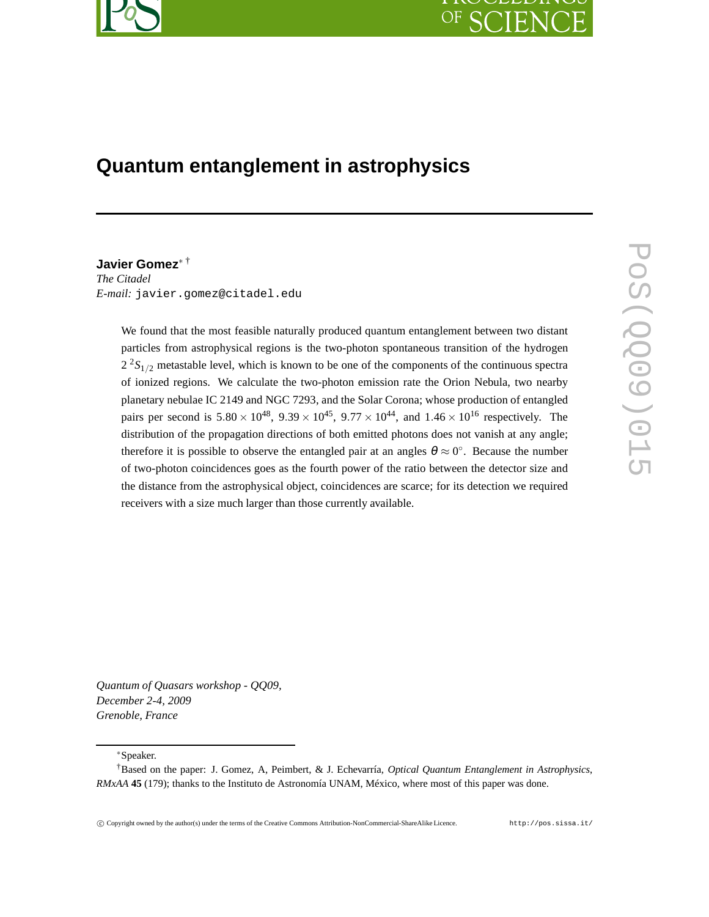# **Quantum entanglement in astrophysics**

**Javier Gomez**<sup>∗</sup> † *The Citadel E-mail:* javier.gomez@citadel.edu

> We found that the most feasible naturally produced quantum entanglement between two distant particles from astrophysical regions is the two-photon spontaneous transition of the hydrogen  $2^{2}S_{1/2}$  metastable level, which is known to be one of the components of the continuous spectra of ionized regions. We calculate the two-photon emission rate the Orion Nebula, two nearby planetary nebulae IC 2149 and NGC 7293, and the Solar Corona; whose production of entangled pairs per second is  $5.80 \times 10^{48}$ ,  $9.39 \times 10^{45}$ ,  $9.77 \times 10^{44}$ , and  $1.46 \times 10^{16}$  respectively. The distribution of the propagation directions of both emitted photons does not vanish at any angle; therefore it is possible to observe the entangled pair at an angles  $\theta \approx 0^{\circ}$ . Because the number of two-photon coincidences goes as the fourth power of the ratio between the detector size and the distance from the astrophysical object, coincidences are scarce; for its detection we required receivers with a size much larger than those currently available.

*Quantum of Quasars workshop - QQ09, December 2-4, 2009 Grenoble, France*

∗Speaker.

<sup>†</sup>Based on the paper: J. Gomez, A, Peimbert, & J. Echevarría, *Optical Quantum Entanglement in Astrophysics*, *RMxAA* **45** (179); thanks to the Instituto de Astronomía UNAM, México, where most of this paper was done.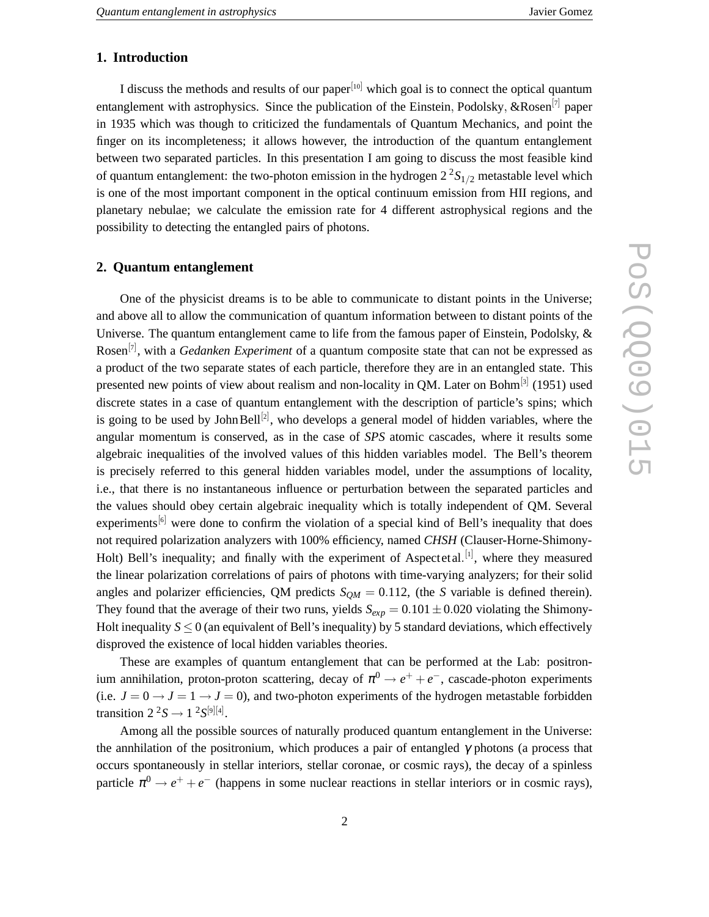# **1. Introduction**

I discuss the methods and results of our paper $[10]$  which goal is to connect the optical quantum entanglement with astrophysics. Since the publication of the Einstein, Podolsky, &Rosen<sup>[7]</sup> paper in 1935 which was though to criticized the fundamentals of Quantum Mechanics, and point the finger on its incompleteness; it allows however, the introduction of the quantum entanglement between two separated particles. In this presentation I am going to discuss the most feasible kind of quantum entanglement: the two-photon emission in the hydrogen  $2^2S_{1/2}$  metastable level which is one of the most important component in the optical continuum emission from HII regions, and planetary nebulae; we calculate the emission rate for 4 different astrophysical regions and the possibility to detecting the entangled pairs of photons.

## **2. Quantum entanglement**

One of the physicist dreams is to be able to communicate to distant points in the Universe; and above all to allow the communication of quantum information between to distant points of the Universe. The quantum entanglement came to life from the famous paper of Einstein, Podolsky, & Rosen<sup>[7]</sup>, with a *Gedanken Experiment* of a quantum composite state that can not be expressed as a product of the two separate states of each particle, therefore they are in an entangled state. This presented new points of view about realism and non-locality in QM. Later on Bohm<sup>[3]</sup> (1951) used discrete states in a case of quantum entanglement with the description of particle's spins; which is going to be used by John Bell<sup>[2]</sup>, who develops a general model of hidden variables, where the angular momentum is conserved, as in the case of *SPS* atomic cascades, where it results some algebraic inequalities of the involved values of this hidden variables model. The Bell's theorem is precisely referred to this general hidden variables model, under the assumptions of locality, i.e., that there is no instantaneous influence or perturbation between the separated particles and the values should obey certain algebraic inequality which is totally independent of QM. Several experiments<sup>[6]</sup> were done to confirm the violation of a special kind of Bell's inequality that does not required polarization analyzers with 100% efficiency, named *CHSH* (Clauser-Horne-Shimony-Holt) Bell's inequality; and finally with the experiment of Aspectetal.<sup>[1]</sup>, where they measured the linear polarization correlations of pairs of photons with time-varying analyzers; for their solid angles and polarizer efficiencies, QM predicts  $S_{OM} = 0.112$ , (the *S* variable is defined therein). They found that the average of their two runs, yields  $S_{exp} = 0.101 \pm 0.020$  violating the Shimony-Holt inequality  $S \leq 0$  (an equivalent of Bell's inequality) by 5 standard deviations, which effectively disproved the existence of local hidden variables theories.

These are examples of quantum entanglement that can be performed at the Lab: positronium annihilation, proton-proton scattering, decay of  $\pi^0 \to e^+ + e^-$ , cascade-photon experiments (i.e.  $J = 0 \rightarrow J = 1 \rightarrow J = 0$ ), and two-photon experiments of the hydrogen metastable forbidden transition  $2^2S \rightarrow 1^2S^{[9][4]}$ .

Among all the possible sources of naturally produced quantum entanglement in the Universe: the annhilation of the positronium, which produces a pair of entangled  $\gamma$  photons (a process that occurs spontaneously in stellar interiors, stellar coronae, or cosmic rays), the decay of a spinless particle  $\pi^0 \rightarrow e^+ + e^-$  (happens in some nuclear reactions in stellar interiors or in cosmic rays),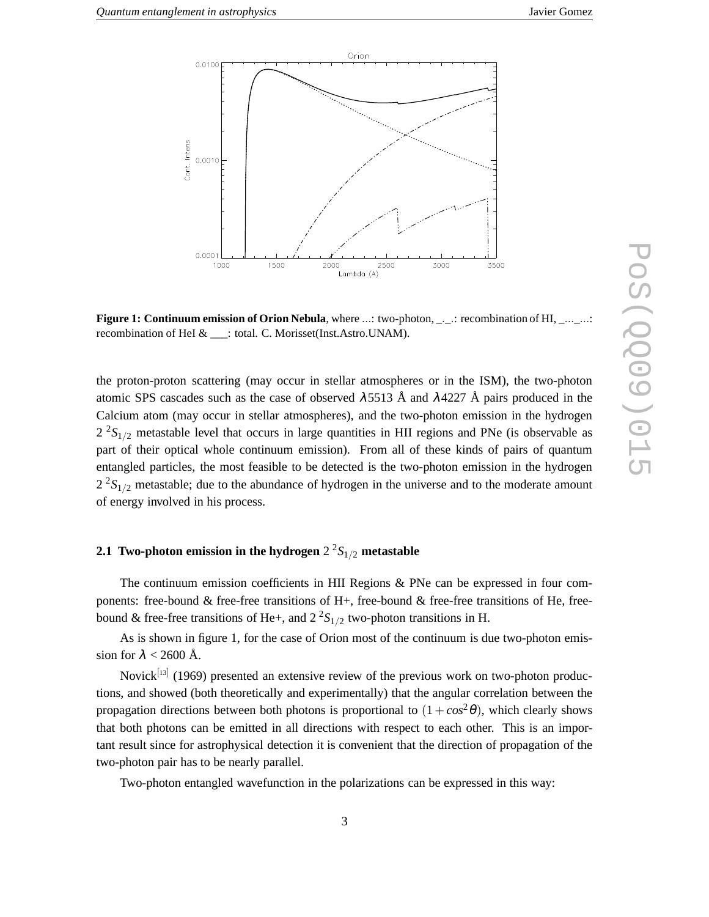

**Figure 1: Continuum emission of Orion Nebula**, where ...: two-photon, \_. \_.: recombination of HI, \_... \_...: recombination of HeI & \_\_\_: total. C. Morisset(Inst.Astro.UNAM).

the proton-proton scattering (may occur in stellar atmospheres or in the ISM), the two-photon atomic SPS cascades such as the case of observed  $\lambda$ 5513 Å and  $\lambda$ 4227 Å pairs produced in the Calcium atom (may occur in stellar atmospheres), and the two-photon emission in the hydrogen  $2^{2}S_{1/2}$  metastable level that occurs in large quantities in HII regions and PNe (is observable as part of their optical whole continuum emission). From all of these kinds of pairs of quantum entangled particles, the most feasible to be detected is the two-photon emission in the hydrogen  $2^{2}S_{1/2}$  metastable; due to the abundance of hydrogen in the universe and to the moderate amount of energy involved in his process.

# **2.1 Two-photon emission in the hydrogen** 2 <sup>2</sup>*S*1/<sup>2</sup> **metastable**

The continuum emission coefficients in HII Regions & PNe can be expressed in four components: free-bound  $&$  free-free transitions of H+, free-bound  $&$  free-free transitions of He, freebound & free-free transitions of He+, and  $2^2S_{1/2}$  two-photon transitions in H.

As is shown in figure 1, for the case of Orion most of the continuum is due two-photon emission for  $\lambda$  < 2600 Å.

Novick<sup>[13]</sup> (1969) presented an extensive review of the previous work on two-photon productions, and showed (both theoretically and experimentally) that the angular correlation between the propagation directions between both photons is proportional to  $(1 + cos^2 \theta)$ , which clearly shows that both photons can be emitted in all directions with respect to each other. This is an important result since for astrophysical detection it is convenient that the direction of propagation of the two-photon pair has to be nearly parallel.

Two-photon entangled wavefunction in the polarizations can be expressed in this way: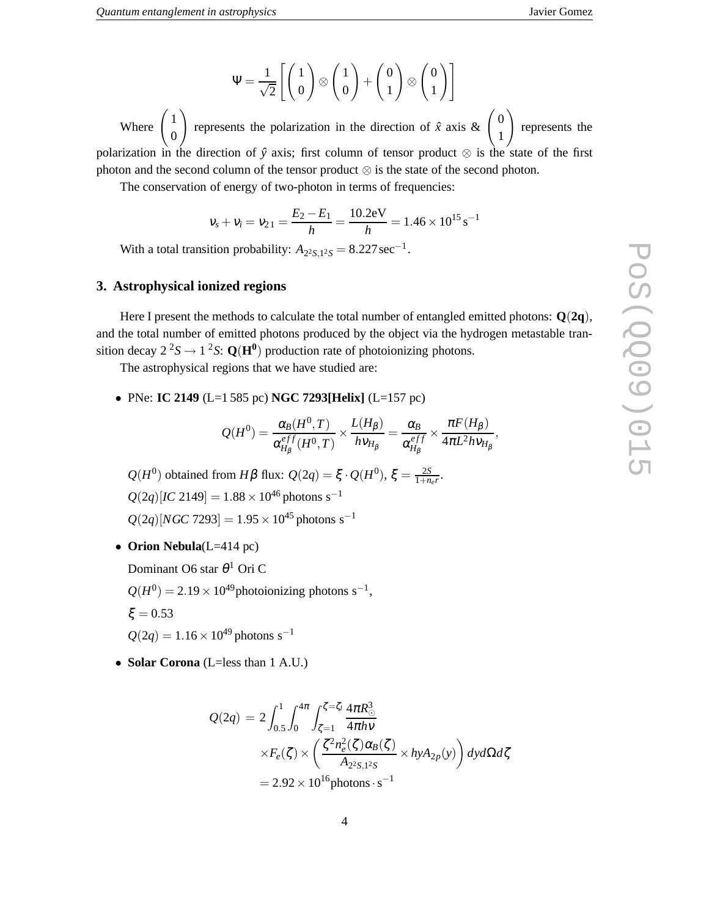$\Psi = \frac{1}{\sqrt{2}}$  $\sqrt{2}$  $\lceil$  1 0  $\setminus$ ⊗  $\sqrt{1}$ 0  $\setminus$  $+$  $\int$ 1  $\setminus$ ⊗  $\int$ 1  $\setminus$  ]  $\setminus$ 

Where  $\begin{pmatrix} 1 \\ 2 \end{pmatrix}$ 0 represents the polarization in the direction of  $\hat{x}$  axis  $\& \begin{pmatrix} 0 \\ 1 \end{pmatrix}$ 1 represents the polarization in the direction of  $\hat{y}$  axis; first column of tensor product  $\otimes$  is the state of the first photon and the second column of the tensor product ⊗ is the state of the second photon.

The conservation of energy of two-photon in terms of frequencies:

$$
v_s + v_i = v_{21} = \frac{E_2 - E_1}{h} = \frac{10.2 \text{eV}}{h} = 1.46 \times 10^{15} \text{ s}^{-1}
$$

With a total transition probability:  $A_{2^2S,1^2S} = 8.227 \text{ sec}^{-1}$ .

### **3. Astrophysical ionized regions**

Here I present the methods to calculate the total number of entangled emitted photons: **Q**(**2q**), and the total number of emitted photons produced by the object via the hydrogen metastable transition decay  $2^2S \rightarrow 1^2S$ :  $Q(H^0)$  production rate of photoionizing photons.

The astrophysical regions that we have studied are:

• PNe: **IC 2149** (L=1 585 pc) **NGC 7293[Helix]** (L=157 pc)

$$
Q(H^0) = \frac{\alpha_B(H^0, T)}{\alpha_{H_\beta}^{eff}(H^0, T)} \times \frac{L(H_\beta)}{h v_{H_\beta}} = \frac{\alpha_B}{\alpha_{H_\beta}^{eff}} \times \frac{\pi F(H_\beta)}{4\pi L^2 h v_{H_\beta}},
$$

*Q*(*H*<sup>0</sup>) obtained from *H*β flux: *Q*(2*q*) = ξ · *Q*(*H*<sup>0</sup>), ξ =  $\frac{2S}{1+n}$  $rac{2S}{1+n_e r}$ .  $Q(2q)[IC 2149] = 1.88 \times 10^{46}$  photons s<sup>-1</sup>  $Q(2q)[NGC 7293] = 1.95 \times 10^{45}$  photons s<sup>-1</sup>

• **Orion Nebula**(L=414 pc)

Dominant O6 star  $\theta^1$  Ori C

 $Q(H^0) = 2.19 \times 10^{49}$  photoionizing photons s<sup>-1</sup>,

 $\xi = 0.53$ 

 $Q(2q) = 1.16 \times 10^{49}$  photons s<sup>-1</sup>

• **Solar Corona** (L=less than 1 A.U.)

$$
Q(2q) = 2 \int_{0.5}^{1} \int_{0}^{4\pi} \int_{\zeta=1}^{\zeta=\zeta_{l}} \frac{4\pi R_{\odot}^{3}}{4\pi h v} \times F_{e}(\zeta) \times \left(\frac{\zeta^{2} n_{e}^{2}(\zeta) \alpha_{B}(\zeta)}{A_{2^{2}S,1^{2}S}} \times h y A_{2p}(y)\right) dy d\Omega d\zeta
$$
  
= 2.92 × 10<sup>16</sup> photons · s<sup>-1</sup>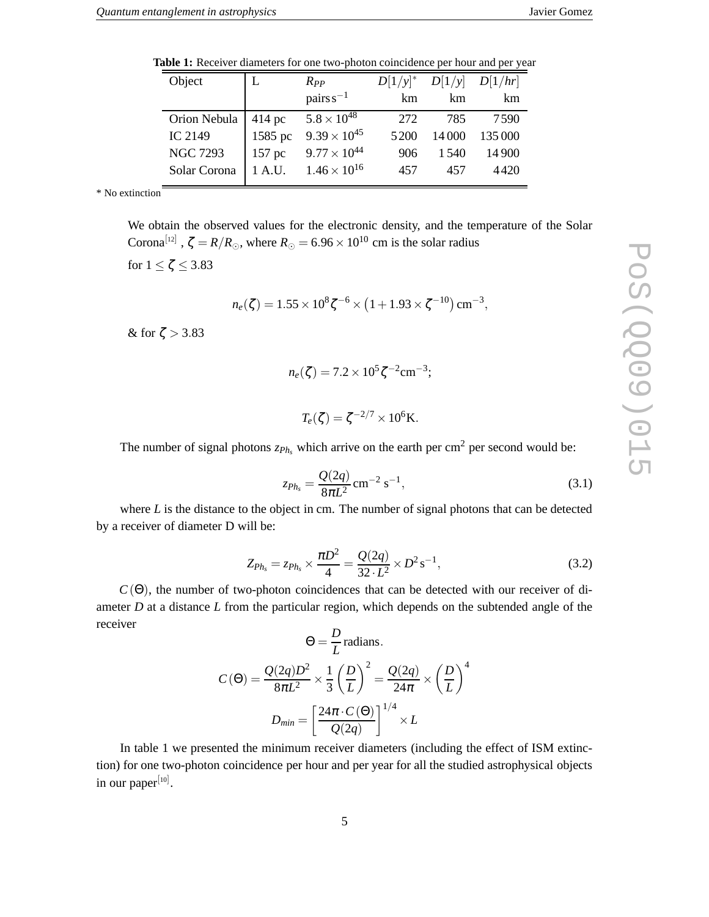PoS(QQ09)015

 $\sqrt{ }$ 

Pos(2009)01

**Table 1:** Receiver diameters for one two-photon coincidence per hour and per year

| Object          |         | $R_{PP}$              | $D[1/y]^*$ |        | $D[1/y]$ $D[1/hr]$ |
|-----------------|---------|-----------------------|------------|--------|--------------------|
|                 |         | pairs $s^{-1}$        | km         | km     | km                 |
| Orion Nebula    | 414 pc  | $5.8 \times 10^{48}$  | 272        | 785    | 7590               |
| IC 2149         | 1585 pc | $9.39 \times 10^{45}$ | 5200       | 14 000 | 135 000            |
| <b>NGC 7293</b> | 157 pc  | $9.77 \times 10^{44}$ | 906        | 1.540  | 14 900             |
| Solar Corona    | 1 A.U.  | $1.46 \times 10^{16}$ | 457        | 457    | 4420               |

\* No extinction

We obtain the observed values for the electronic density, and the temperature of the Solar Corona<sup>[12]</sup>,  $\zeta = R/R_{\odot}$ , where  $R_{\odot} = 6.96 \times 10^{10}$  cm is the solar radius

for  $1 \leq \zeta \leq 3.83$ 

$$
n_e(\zeta) = 1.55 \times 10^8 \zeta^{-6} \times (1 + 1.93 \times \zeta^{-10}) \text{ cm}^{-3},
$$

& for  $\zeta > 3.83$ 

$$
n_e(\zeta) = 7.2 \times 10^5 \zeta^{-2} \text{cm}^{-3};
$$

$$
T_e(\zeta) = \zeta^{-2/7} \times 10^6 \text{K}.
$$

The number of signal photons  $z_{Ph_s}$  which arrive on the earth per cm<sup>2</sup> per second would be:

$$
z_{Ph_s} = \frac{Q(2q)}{8\pi L^2} \text{ cm}^{-2} \text{ s}^{-1},\tag{3.1}
$$

where *L* is the distance to the object in cm. The number of signal photons that can be detected by a receiver of diameter D will be:

$$
Z_{Ph_s} = z_{Ph_s} \times \frac{\pi D^2}{4} = \frac{Q(2q)}{32 \cdot L^2} \times D^2 s^{-1},\tag{3.2}
$$

 $C(\Theta)$ , the number of two-photon coincidences that can be detected with our receiver of diameter *D* at a distance *L* from the particular region, which depends on the subtended angle of the receiver

$$
\Theta = \frac{D}{L} \text{ radians.}
$$

$$
C(\Theta) = \frac{Q(2q)D^2}{8\pi L^2} \times \frac{1}{3} \left(\frac{D}{L}\right)^2 = \frac{Q(2q)}{24\pi} \times \left(\frac{D}{L}\right)^4
$$

$$
D_{min} = \left[\frac{24\pi \cdot C(\Theta)}{Q(2q)}\right]^{1/4} \times L
$$

In table 1 we presented the minimum receiver diameters (including the effect of ISM extinction) for one two-photon coincidence per hour and per year for all the studied astrophysical objects in our paper<sup>[10]</sup>.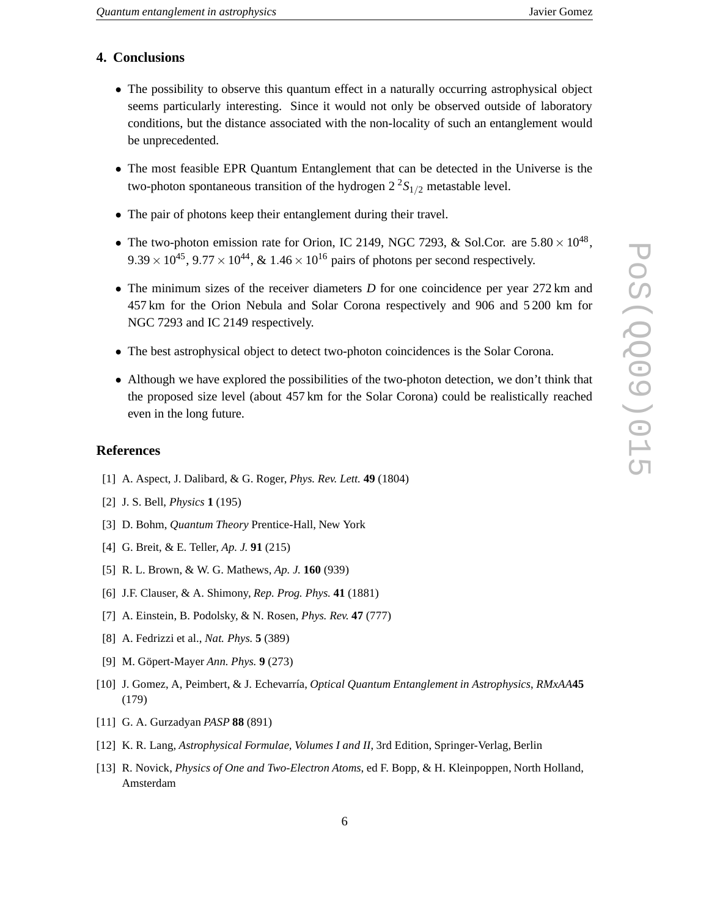# **4. Conclusions**

- The possibility to observe this quantum effect in a naturally occurring astrophysical object seems particularly interesting. Since it would not only be observed outside of laboratory conditions, but the distance associated with the non-locality of such an entanglement would be unprecedented.
- The most feasible EPR Quantum Entanglement that can be detected in the Universe is the two-photon spontaneous transition of the hydrogen  $2^2S_{1/2}$  metastable level.
- The pair of photons keep their entanglement during their travel.
- The two-photon emission rate for Orion, IC 2149, NGC 7293, & Sol.Cor. are  $5.80 \times 10^{48}$ ,  $9.39 \times 10^{45}$ ,  $9.77 \times 10^{44}$ , &  $1.46 \times 10^{16}$  pairs of photons per second respectively.
- The minimum sizes of the receiver diameters *D* for one coincidence per year 272 km and 457 km for the Orion Nebula and Solar Corona respectively and 906 and 5 200 km for NGC 7293 and IC 2149 respectively.
- The best astrophysical object to detect two-photon coincidences is the Solar Corona.
- Although we have explored the possibilities of the two-photon detection, we don't think that the proposed size level (about 457 km for the Solar Corona) could be realistically reached even in the long future.

### **References**

- [1] A. Aspect, J. Dalibard, & G. Roger, *Phys. Rev. Lett.* **49** (1804)
- [2] J. S. Bell, *Physics* **1** (195)
- [3] D. Bohm, *Quantum Theory* Prentice-Hall, New York
- [4] G. Breit, & E. Teller, *Ap. J.* **91** (215)
- [5] R. L. Brown, & W. G. Mathews, *Ap. J.* **160** (939)
- [6] J.F. Clauser, & A. Shimony, *Rep. Prog. Phys.* **41** (1881)
- [7] A. Einstein, B. Podolsky, & N. Rosen, *Phys. Rev.* **47** (777)
- [8] A. Fedrizzi et al., *Nat. Phys.* **5** (389)
- [9] M. Göpert-Mayer *Ann. Phys.* **9** (273)
- [10] J. Gomez, A, Peimbert, & J. Echevarría, *Optical Quantum Entanglement in Astrophysics*, *RMxAA***45** (179)
- [11] G. A. Gurzadyan *PASP* **88** (891)
- [12] K. R. Lang, *Astrophysical Formulae, Volumes I and II*, 3rd Edition, Springer-Verlag, Berlin
- [13] R. Novick, *Physics of One and Two-Electron Atoms*, ed F. Bopp, & H. Kleinpoppen, North Holland, Amsterdam